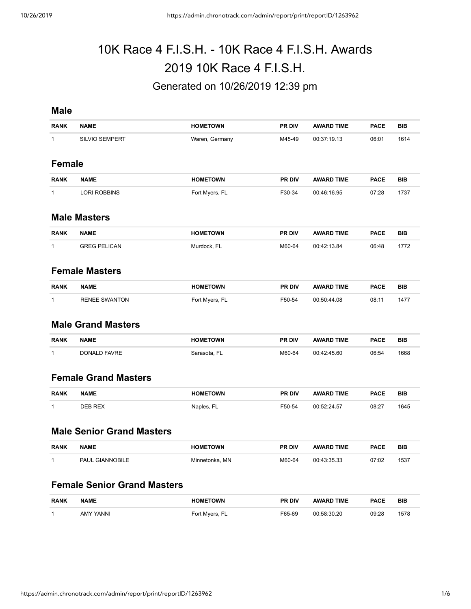# 10K Race 4 F.I.S.H. - 10K Race 4 F.I.S.H. Awards 2019 10K Race 4 F.I.S.H. Generated on 10/26/2019 12:39 pm

#### **Male**

| <b>RANK</b>   | <b>NAME</b>           | <b>HOMETOWN</b> | <b>PR DIV</b> | <b>AWARD TIME</b> | <b>PACE</b> | <b>BIB</b> |
|---------------|-----------------------|-----------------|---------------|-------------------|-------------|------------|
| 1             | <b>SILVIO SEMPERT</b> | Waren, Germany  | M45-49        | 00:37:19.13       | 06:01       | 1614       |
|               |                       |                 |               |                   |             |            |
| <b>Female</b> |                       |                 |               |                   |             |            |
|               |                       |                 |               |                   |             |            |
| <b>RANK</b>   | <b>NAME</b>           | <b>HOMETOWN</b> | <b>PR DIV</b> | <b>AWARD TIME</b> | <b>PACE</b> | <b>BIB</b> |
| 1             | <b>LORI ROBBINS</b>   | Fort Myers, FL  | F30-34        | 00:46:16.95       | 07:28       | 1737       |

#### **Male Masters**

| <b>RANK</b> | <b>NAME</b>         | <b>HOMETOWN</b> | <b>PR DIV</b> | <b>AWARD TIME</b> | <b>PACE</b> | BIB |
|-------------|---------------------|-----------------|---------------|-------------------|-------------|-----|
|             | <b>GREG PELICAN</b> | Murdock. FL     | M60-64        | 00:42:13.84       | 06:48       | 772 |

#### **Female Masters**

| <b>RANK</b> | <b>NAME</b>          | <b>HOMETOWN</b> | <b>PR DIV</b> | <b>AWARD TIME</b> | <b>PACE</b> | BIB |
|-------------|----------------------|-----------------|---------------|-------------------|-------------|-----|
|             | <b>RENEE SWANTON</b> | Fort Myers, FL  | F50-54        | 00:50:44.08       | 08:11       | 147 |

#### **Male Grand Masters**

| <b>RANK</b> | <b>NAME</b>  | <b>HOMETOWN</b> | <b>PR DIV</b> | <b>TIME</b><br><b>AWARD</b> | <b>PACE</b> | BIB  |
|-------------|--------------|-----------------|---------------|-----------------------------|-------------|------|
|             | DONALD FAVRE | sarasota        | M60-64        | 00:42:45.60                 | 06:54       | 1668 |

## **Female Grand Masters**

| <b>RANK</b> | <b>NAME</b> | <b>TOWN</b><br>* 1M ⊨. | <b>PR DIV</b> | <b>TIME</b> | <b>PACF</b> | BIB  |
|-------------|-------------|------------------------|---------------|-------------|-------------|------|
|             | NER REY     | Naples.                | F50-54        | ., л        | 08:27       | 1645 |

#### **Male Senior Grand Masters**

| <b>RANK</b> | <b>NAME</b>            | <b>HOMETOWN</b> | <b>PR DIV</b> | <b>AWARD TIME</b> | <b>PACE</b> | <b>BIB</b> |
|-------------|------------------------|-----------------|---------------|-------------------|-------------|------------|
|             | <b>PAUL GIANNOBILE</b> | Minnetonka, MN  | M60-64        | 00:43:35.33       | 07:02       | 1537       |

#### **Female Senior Grand Masters**

| <b>RANK</b> | <b>NAME</b>  | <b>HOMETOWN</b> | <b>PR DIV</b> | <b>TIME</b><br><b>AWARD</b> | <b>PACE</b> | BIB  |
|-------------|--------------|-----------------|---------------|-----------------------------|-------------|------|
|             | YANNI<br>AMY | Fort Myers,     | F65-69        | NN 58.30.20                 | 09:28<br>.  | 1578 |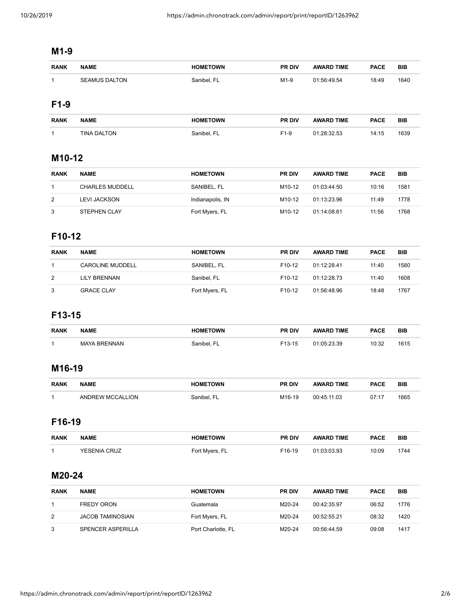# **M1-9**

| <b>RANK</b> | <b>NAME</b>          | <b>HOMETOWN</b> | <b>PR DIV</b> | <b>AWARD TIME</b> | <b>PACE</b> | <b>BIB</b> |
|-------------|----------------------|-----------------|---------------|-------------------|-------------|------------|
|             | <b>SEAMUS DALTON</b> | Sanibel, FL     | M1-9          | 01:56:49.54       | 18:49       | 1640       |

## **F1-9**

| <b>RANK</b> | <b>NAME</b>        | <b>HOMETOWN</b> | <b>PR DIV</b> | <b>AWARD TIME</b> | <b>PACE</b> | <b>BIB</b> |
|-------------|--------------------|-----------------|---------------|-------------------|-------------|------------|
|             | <b>TINA DALTON</b> | Sanibel. FL     | F1-9          | 01:28:32.53       | 14:15       | 1639       |

# **M10-12**

| <b>RANK</b> | <b>NAME</b>            | <b>HOMETOWN</b>  | <b>PR DIV</b>       | <b>AWARD TIME</b> | <b>PACE</b> | <b>BIB</b> |
|-------------|------------------------|------------------|---------------------|-------------------|-------------|------------|
|             | <b>CHARLES MUDDELL</b> | SANIBEL, FL      | M <sub>10</sub> -12 | 01:03:44.50       | 10:16       | 1581       |
| 2           | LEVI JACKSON           | Indianapolis, IN | M <sub>10</sub> -12 | 01:13:23.96       | 11:49       | 1778       |
| 3           | <b>STEPHEN CLAY</b>    | Fort Myers, FL   | M10-12              | 01:14:08.61       | 11:56       | 1768       |

#### **F10-12**

| <b>RANK</b> | <b>NAME</b>             | <b>HOMETOWN</b> | <b>PR DIV</b>       | <b>AWARD TIME</b> | <b>PACE</b> | <b>BIB</b> |
|-------------|-------------------------|-----------------|---------------------|-------------------|-------------|------------|
|             | <b>CAROLINE MUDDELL</b> | SANIBEL, FL     | F <sub>10</sub> -12 | 01:12:28.41       | 11:40       | 1580       |
| 2           | LILY BRENNAN            | Sanibel, FL     | F <sub>10</sub> -12 | 01:12:28.73       | 11:40       | 1608       |
| 3           | <b>GRACE CLAY</b>       | Fort Myers, FL  | F <sub>10</sub> -12 | 01:56:48.96       | 18:48       | 1767       |

# **F13-15**

| <b>RANK</b> | <b>NAME</b>  | <b>HOMETOWN</b> | <b>PR DIV</b>       | <b>AWARD TIME</b> | <b>PACE</b> | <b>BIB</b> |
|-------------|--------------|-----------------|---------------------|-------------------|-------------|------------|
|             | MAYA BRENNAN | Sanibel, FL     | F <sub>13</sub> -15 | 01:05:23.39       | 10:32       | 1615       |

## **M16-19**

| <b>RANK</b> | <b>NAME</b>      | <b>HOMETOWN</b> | <b>PR DIV</b>      | <b>AWARD TIME</b> | <b>PACE</b> | <b>BIB</b> |
|-------------|------------------|-----------------|--------------------|-------------------|-------------|------------|
|             | ANDREW MCCALLION | Sanibel. FL     | M <sub>16-19</sub> | 00:45:11.03       | 07:17       | 1665       |

# **F16-19**

| <b>RANK</b> | <b>NAME</b>         | <b>HOMETOWN</b> | <b>PR DIV</b>      | <b>AWARD TIME</b> | <b>PACE</b> | <b>BIB</b> |
|-------------|---------------------|-----------------|--------------------|-------------------|-------------|------------|
|             | <b>YESENIA CRUZ</b> | Fort Myers, FL  | F <sub>16-19</sub> | 01:03:03.93       | 10:09       | 1744       |

# **M20-24**

| <b>RANK</b> | <b>NAME</b>              | <b>HOMETOWN</b>    | <b>PR DIV</b> | <b>AWARD TIME</b> | <b>PACE</b> | <b>BIB</b> |
|-------------|--------------------------|--------------------|---------------|-------------------|-------------|------------|
|             | <b>FREDY ORON</b>        | Guatemala          | M20-24        | 00:42:35.97       | 06:52       | 1776       |
| 2           | <b>JACOB TAMINOSIAN</b>  | Fort Myers, FL     | M20-24        | 00:52:55.21       | 08:32       | 1420       |
| 3           | <b>SPENCER ASPERILLA</b> | Port Charlotte, FL | M20-24        | 00:56:44.59       | 09:08       | 1417       |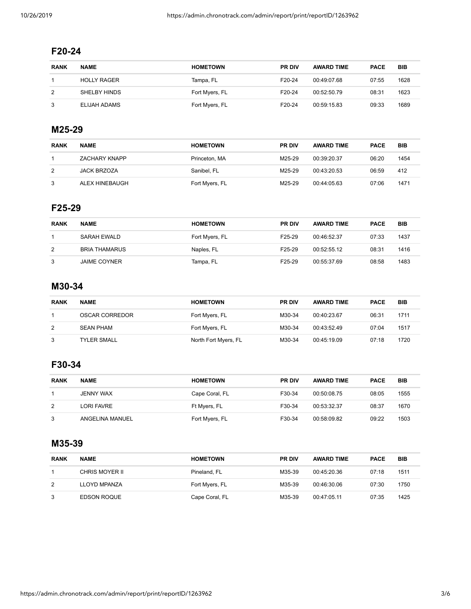## **F20-24**

| <b>RANK</b>          | <b>NAME</b>        | <b>HOMETOWN</b> | <b>PR DIV</b>       | <b>AWARD TIME</b> | <b>PACE</b> | <b>BIB</b> |
|----------------------|--------------------|-----------------|---------------------|-------------------|-------------|------------|
|                      | <b>HOLLY RAGER</b> | Tampa, FL       | F <sub>20</sub> -24 | 00:49:07.68       | 07:55       | 1628       |
| $\mathbf{2}^{\circ}$ | SHELBY HINDS       | Fort Myers, FL  | F <sub>20</sub> -24 | 00:52:50.79       | 08:31       | 1623       |
| 3                    | ELIJAH ADAMS       | Fort Myers, FL  | F <sub>20</sub> -24 | 00:59:15.83       | 09:33       | 1689       |

# **M25-29**

| <b>RANK</b> | <b>NAME</b>          | <b>HOMETOWN</b> | <b>PR DIV</b> | <b>AWARD TIME</b> | <b>PACE</b> | <b>BIB</b> |
|-------------|----------------------|-----------------|---------------|-------------------|-------------|------------|
|             | <b>ZACHARY KNAPP</b> | Princeton, MA   | M25-29        | 00:39:20.37       | 06:20       | 1454       |
| 2           | <b>JACK BRZOZA</b>   | Sanibel, FL     | M25-29        | 00:43:20.53       | 06:59       | 412        |
| 3           | ALEX HINEBAUGH       | Fort Myers, FL  | M25-29        | 00:44:05.63       | 07:06       | 1471       |

# **F25-29**

| <b>RANK</b> | <b>NAME</b>          | <b>HOMETOWN</b> | <b>PR DIV</b> | <b>AWARD TIME</b> | <b>PACE</b> | <b>BIB</b> |
|-------------|----------------------|-----------------|---------------|-------------------|-------------|------------|
|             | SARAH EWALD          | Fort Myers, FL  | F25-29        | 00:46:52.37       | 07:33       | 1437       |
| 2           | <b>BRIA THAMARUS</b> | Naples, FL      | F25-29        | 00:52:55.12       | 08:31       | 1416       |
| 3           | <b>JAIME COYNER</b>  | Tampa, FL       | F25-29        | 00:55:37.69       | 08:58       | 1483       |

#### **M30-34**

| <b>RANK</b> | <b>NAME</b>        | <b>HOMETOWN</b>      | <b>PR DIV</b> | <b>AWARD TIME</b> | <b>PACE</b> | <b>BIB</b> |
|-------------|--------------------|----------------------|---------------|-------------------|-------------|------------|
|             | OSCAR CORREDOR     | Fort Myers, FL       | M30-34        | 00:40:23.67       | 06:31       | 1711       |
| 2           | <b>SEAN PHAM</b>   | Fort Myers, FL       | M30-34        | 00:43:52.49       | 07:04       | 1517       |
| 3           | <b>TYLER SMALL</b> | North Fort Myers, FL | M30-34        | 00:45:19.09       | 07:18       | 1720       |

## **F30-34**

| <b>RANK</b> | <b>NAME</b>     | <b>HOMETOWN</b> | <b>PR DIV</b> | <b>AWARD TIME</b> | <b>PACE</b> | <b>BIB</b> |
|-------------|-----------------|-----------------|---------------|-------------------|-------------|------------|
|             | JENNY WAX       | Cape Coral, FL  | F30-34        | 00:50:08.75       | 08:05       | 1555       |
| 2           | LORI FAVRE      | Ft Myers, FL    | F30-34        | 00:53:32.37       | 08:37       | 1670       |
| 3           | ANGELINA MANUEL | Fort Myers, FL  | F30-34        | 00:58:09.82       | 09:22       | 1503       |

#### **M35-39**

| <b>RANK</b> | <b>NAME</b>        | <b>HOMETOWN</b> | <b>PR DIV</b> | <b>AWARD TIME</b> | <b>PACE</b> | <b>BIB</b> |
|-------------|--------------------|-----------------|---------------|-------------------|-------------|------------|
|             | CHRIS MOYER II     | Pineland, FL    | M35-39        | 00:45:20.36       | 07:18       | 1511       |
| 2           | LLOYD MPANZA       | Fort Myers, FL  | M35-39        | 00:46:30.06       | 07:30       | 1750       |
|             | <b>EDSON ROQUE</b> | Cape Coral, FL  | M35-39        | 00:47:05.11       | 07:35       | 1425       |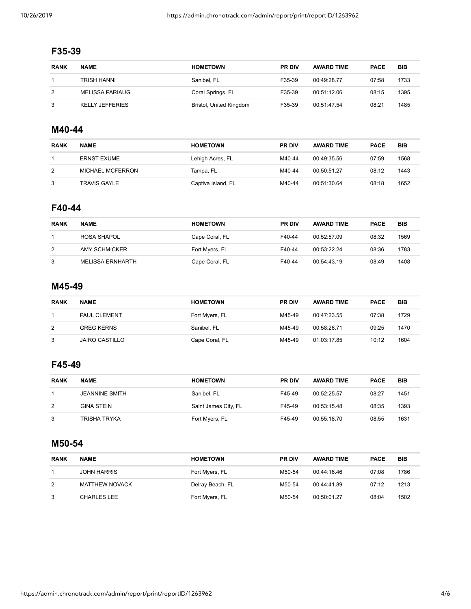# **F35-39**

| <b>RANK</b> | <b>NAME</b>            | <b>HOMETOWN</b>         | <b>PR DIV</b> | <b>AWARD TIME</b> | <b>PACE</b> | <b>BIB</b> |
|-------------|------------------------|-------------------------|---------------|-------------------|-------------|------------|
|             | TRISH HANNI            | Sanibel, FL             | F35-39        | 00:49:28.77       | 07:58       | 1733       |
| 2           | MELISSA PARIAUG        | Coral Springs, FL       | F35-39        | 00:51:12.06       | 08:15       | 1395       |
| 3           | <b>KELLY JEFFERIES</b> | Bristol, United Kingdom | F35-39        | 00:51:47.54       | 08:21       | 1485       |

#### **M40-44**

| <b>RANK</b> | <b>NAME</b>         | <b>HOMETOWN</b>    | <b>PR DIV</b> | <b>AWARD TIME</b> | <b>PACE</b> | BIB  |
|-------------|---------------------|--------------------|---------------|-------------------|-------------|------|
|             | <b>ERNST EXUME</b>  | Lehigh Acres, FL   | M40-44        | 00:49:35.56       | 07:59       | 1568 |
| 2           | MICHAEL MCFERRON    | Tampa, FL          | M40-44        | 00:50:51.27       | 08:12       | 1443 |
| 3           | <b>TRAVIS GAYLE</b> | Captiva Island, FL | M40-44        | 00:51:30.64       | 08:18       | 1652 |

#### **F40-44**

| <b>RANK</b> | <b>NAME</b>      | <b>HOMETOWN</b> | <b>PR DIV</b> | <b>AWARD TIME</b> | <b>PACE</b> | <b>BIB</b> |
|-------------|------------------|-----------------|---------------|-------------------|-------------|------------|
|             | ROSA SHAPOL      | Cape Coral, FL  | F40-44        | 00:52:57.09       | 08:32       | 1569       |
| 2           | AMY SCHMICKER    | Fort Myers, FL  | F40-44        | 00:53:22.24       | 08:36       | 1783       |
| 3           | MELISSA ERNHARTH | Cape Coral, FL  | F40-44        | 00:54:43.19       | 08:49       | 1408       |

#### **M45-49**

| <b>RANK</b> | <b>NAME</b>           | <b>HOMETOWN</b> | <b>PR DIV</b> | <b>AWARD TIME</b> | <b>PACE</b> | <b>BIB</b> |
|-------------|-----------------------|-----------------|---------------|-------------------|-------------|------------|
|             | <b>PAUL CLEMENT</b>   | Fort Myers, FL  | M45-49        | 00:47:23.55       | 07:38       | 1729       |
| 2           | <b>GREG KERNS</b>     | Sanibel, FL     | M45-49        | 00:58:26.71       | 09:25       | 1470       |
| 3           | <b>JAIRO CASTILLO</b> | Cape Coral, FL  | M45-49        | 01:03:17.85       | 10:12       | 1604       |

## **F45-49**

| <b>RANK</b> | <b>NAME</b>           | <b>HOMETOWN</b>      | <b>PR DIV</b> | <b>AWARD TIME</b> | <b>PACE</b> | <b>BIB</b> |
|-------------|-----------------------|----------------------|---------------|-------------------|-------------|------------|
|             | <b>JEANNINE SMITH</b> | Sanibel, FL          | F45-49        | 00:52:25.57       | 08:27       | 1451       |
| 2           | GINA STEIN            | Saint James City, FL | F45-49        | 00:53:15.48       | 08:35       | 1393       |
| 3           | TRISHA TRYKA          | Fort Myers, FL       | F45-49        | 00:55:18.70       | 08:55       | 1631       |

## **M50-54**

| <b>RANK</b> | <b>NAME</b>        | <b>HOMETOWN</b>  | <b>PR DIV</b> | <b>AWARD TIME</b> | <b>PACE</b> | <b>BIB</b> |
|-------------|--------------------|------------------|---------------|-------------------|-------------|------------|
|             | <b>JOHN HARRIS</b> | Fort Myers, FL   | M50-54        | 00:44:16.46       | 07:08       | 1786       |
| 2           | MATTHEW NOVACK     | Delray Beach, FL | M50-54        | 00:44:41.89       | 07:12       | 1213       |
| 3           | <b>CHARLES LEE</b> | Fort Myers, FL   | M50-54        | 00:50:01.27       | 08:04       | 1502       |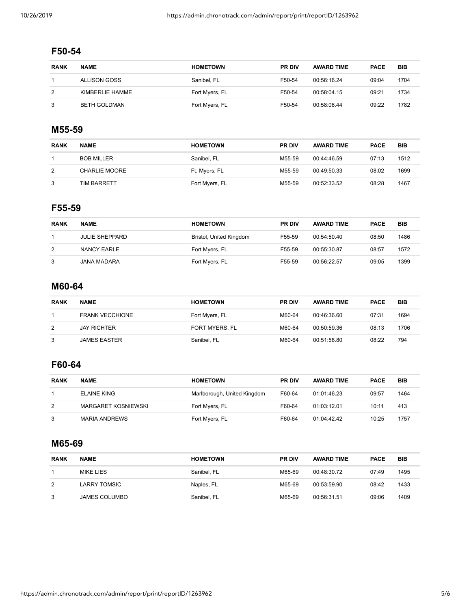# **F50-54**

| <b>RANK</b> | <b>NAME</b>     | <b>HOMETOWN</b> | <b>PR DIV</b> | <b>AWARD TIME</b> | <b>PACE</b> | <b>BIB</b> |
|-------------|-----------------|-----------------|---------------|-------------------|-------------|------------|
|             | ALLISON GOSS    | Sanibel, FL     | F50-54        | 00:56:16.24       | 09:04       | 1704       |
| 2           | KIMBERLIE HAMME | Fort Myers, FL  | F50-54        | 00:58:04.15       | 09:21       | 1734       |
| 3           | BETH GOLDMAN    | Fort Myers, FL  | F50-54        | 00:58:06.44       | 09:22       | 1782       |

## **M55-59**

| <b>RANK</b> | <b>NAME</b>          | <b>HOMETOWN</b> | <b>PR DIV</b> | <b>AWARD TIME</b> | <b>PACE</b> | BIB  |
|-------------|----------------------|-----------------|---------------|-------------------|-------------|------|
|             | <b>BOB MILLER</b>    | Sanibel, FL     | M55-59        | 00:44:46.59       | 07:13       | 1512 |
| 2           | <b>CHARLIE MOORE</b> | Ft. Myers, FL   | M55-59        | 00:49:50.33       | 08:02       | 1699 |
| 3           | TIM BARRETT          | Fort Myers, FL  | M55-59        | 00:52:33.52       | 08:28       | 1467 |

## **F55-59**

| <b>RANK</b> | <b>NAME</b>           | <b>HOMETOWN</b>         | <b>PR DIV</b> | <b>AWARD TIME</b> | <b>PACE</b> | <b>BIB</b> |
|-------------|-----------------------|-------------------------|---------------|-------------------|-------------|------------|
|             | <b>JULIE SHEPPARD</b> | Bristol, United Kingdom | F55-59        | 00:54:50.40       | 08:50       | 1486       |
| 2           | NANCY EARLE           | Fort Myers, FL          | F55-59        | 00:55:30.87       | 08:57       | 1572       |
| 3           | JANA MADARA           | Fort Myers, FL          | F55-59        | 00:56:22.57       | 09:05       | 1399       |

## **M60-64**

| <b>RANK</b> | <b>NAME</b>            | <b>HOMETOWN</b> | <b>PR DIV</b> | <b>AWARD TIME</b> | <b>PACE</b> | <b>BIB</b> |
|-------------|------------------------|-----------------|---------------|-------------------|-------------|------------|
|             | <b>FRANK VECCHIONE</b> | Fort Myers, FL  | M60-64        | 00:46:36.60       | 07:31       | 1694       |
| 2           | <b>JAY RICHTER</b>     | FORT MYERS, FL  | M60-64        | 00:50:59.36       | 08:13       | 1706       |
| 3           | <b>JAMES EASTER</b>    | Sanibel, FL     | M60-64        | 00:51:58.80       | 08:22       | 794        |

## **F60-64**

| <b>RANK</b> | <b>NAME</b>                | <b>HOMETOWN</b>             | <b>PR DIV</b> | <b>AWARD TIME</b> | <b>PACE</b> | <b>BIB</b> |
|-------------|----------------------------|-----------------------------|---------------|-------------------|-------------|------------|
|             | ELAINE KING                | Marlborough, United Kingdom | F60-64        | 01:01:46.23       | 09:57       | 1464       |
| 2           | <b>MARGARET KOSNIEWSKI</b> | Fort Myers, FL              | F60-64        | 01:03:12.01       | 10:11       | 413        |
| 3           | <b>MARIA ANDREWS</b>       | Fort Myers, FL              | F60-64        | 01:04:42.42       | 10:25       | 1757       |

#### **M65-69**

| <b>RANK</b> | <b>NAME</b>          | <b>HOMETOWN</b> | <b>PR DIV</b> | <b>AWARD TIME</b> | <b>PACE</b> | <b>BIB</b> |
|-------------|----------------------|-----------------|---------------|-------------------|-------------|------------|
|             | MIKE LIES            | Sanibel, FL     | M65-69        | 00:48:30.72       | 07:49       | 1495       |
| 2           | LARRY TOMSIC         | Naples, FL      | M65-69        | 00:53:59.90       | 08:42       | 1433       |
| 3           | <b>JAMES COLUMBO</b> | Sanibel, FL     | M65-69        | 00:56:31.51       | 09:06       | 1409       |